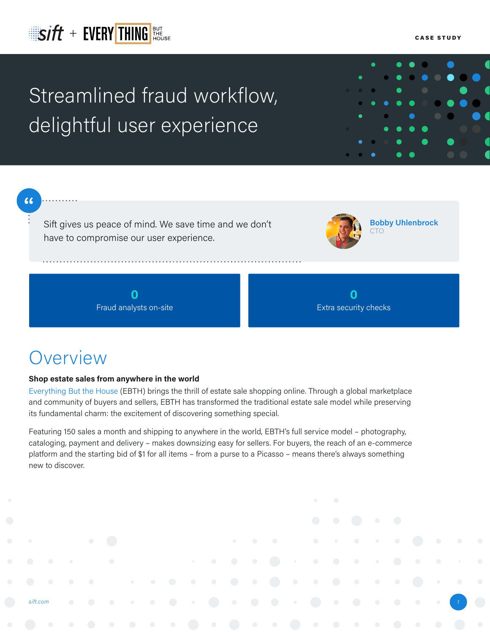## $\mathbf{S}$   $\mathbf{H}$   $+$   $\mathsf{E}$   $\mathsf{VERY}$   $\mathsf{THING}$   $\mathsf{HHS}$   $\mathsf{HHS}$   $\mathsf{HHS}$   $\mathsf{HHS}$   $\mathsf{HHS}$   $\mathsf{HHS}$   $\mathsf{HHS}$   $\mathsf{HHS}$   $\mathsf{HHS}$   $\mathsf{HHS}$   $\mathsf{HHS}$   $\mathsf{HHS}$   $\mathsf{HHS}$   $\mathsf{HHS}$   $\mathsf{HHS}$   $\mathsf{HHS}$   $\mathsf{HHS}$

# Streamlined fraud workflow, delightful user experience

66

Sift gives us peace of mind. We save time and we don't have to compromise our user experience.

**Bobby Uhlenbrock** CTO

**0** Fraud analysts on-site



### **Overview**

*[sift.com](https://sift.com/contact-us)*

### **Shop estate sales from anywhere in the world**

[Everything But the House](https://www.ebth.com/) (EBTH) brings the thrill of estate sale shopping online. Through a global marketplace and community of buyers and sellers, EBTH has transformed the traditional estate sale model while preserving its fundamental charm: the excitement of discovering something special.

Featuring 150 sales a month and shipping to anywhere in the world, EBTH's full service model – photography, cataloging, payment and delivery – makes downsizing easy for sellers. For buyers, the reach of an e-commerce platform and the starting bid of \$1 for all items – from a purse to a Picasso – means there's always something new to discover.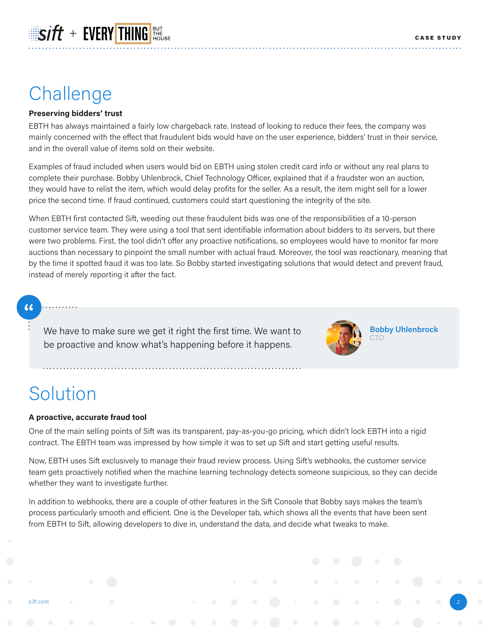### Challenge

#### **Preserving bidders' trust**

 $\mathbb{E}$ sift + EVERY THING

EBTH has always maintained a fairly low chargeback rate. Instead of looking to reduce their fees, the company was mainly concerned with the effect that fraudulent bids would have on the user experience, bidders' trust in their service, and in the overall value of items sold on their website.

Examples of fraud included when users would bid on EBTH using stolen credit card info or without any real plans to complete their purchase. Bobby Uhlenbrock, Chief Technology Officer, explained that if a fraudster won an auction, they would have to relist the item, which would delay profits for the seller. As a result, the item might sell for a lower price the second time. If fraud continued, customers could start questioning the integrity of the site.

When EBTH first contacted Sift, weeding out these fraudulent bids was one of the responsibilities of a 10-person customer service team. They were using a tool that sent identifiable information about bidders to its servers, but there were two problems. First, the tool didn't offer any proactive notifications, so employees would have to monitor far more auctions than necessary to pinpoint the small number with actual fraud. Moreover, the tool was reactionary, meaning that by the time it spotted fraud it was too late. So Bobby started investigating solutions that would detect and prevent fraud, instead of merely reporting it after the fact.

### $66$

We have to make sure we get it right the first time. We want to be proactive and know what's happening before it happens.



**Bobby Uhlenbrock**

*2*

### **Solution**

*[sift.com](https://sift.com/contact-us)*

#### **A proactive, accurate fraud tool**

One of the main selling points of Sift was its transparent, pay-as-you-go pricing, which didn't lock EBTH into a rigid contract. The EBTH team was impressed by how simple it was to set up Sift and start getting useful results.

Now, EBTH uses Sift exclusively to manage their fraud review process. Using Sift's webhooks, the customer service team gets proactively notified when the machine learning technology detects someone suspicious, so they can decide whether they want to investigate further.

In addition to webhooks, there are a couple of other features in the Sift Console that Bobby says makes the team's process particularly smooth and efficient. One is the Developer tab, which shows all the events that have been sent from EBTH to Sift, allowing developers to dive in, understand the data, and decide what tweaks to make.